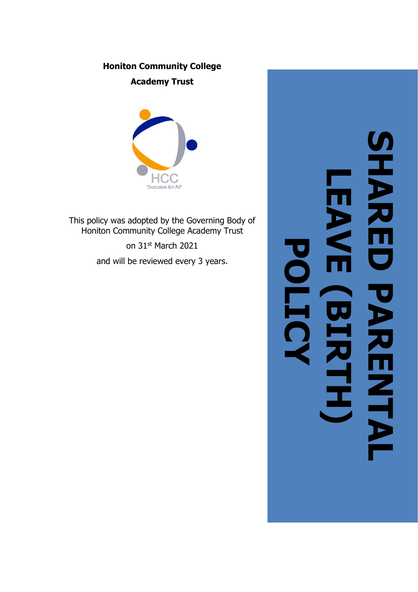## **Honiton Community College**

**Academy Trust**



This policy was adopted by the Governing Body of Honiton Community College Academy Trust

> on 31st March 2021 and will be reviewed every 3 years.

# **SHARED PARENTAL HARRIS LEAVE (BIRTH**  $\blacksquare$ **POLICYARENT** ┑ **)**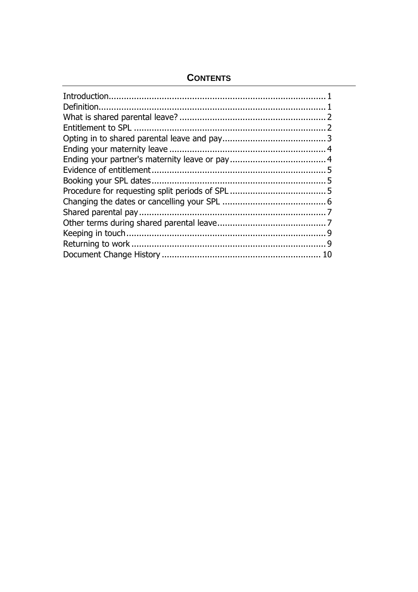### **CONTENTS**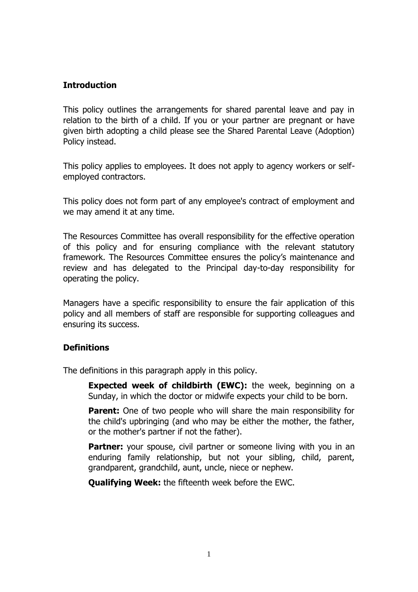#### **Introduction**

This policy outlines the arrangements for shared parental leave and pay in relation to the birth of a child. If you or your partner are pregnant or have given birth adopting a child please see the Shared Parental Leave (Adoption) Policy instead.

This policy applies to employees. It does not apply to agency workers or selfemployed contractors.

This policy does not form part of any employee's contract of employment and we may amend it at any time.

The Resources Committee has overall responsibility for the effective operation of this policy and for ensuring compliance with the relevant statutory framework. The Resources Committee ensures the policy's maintenance and review and has delegated to the Principal day-to-day responsibility for operating the policy.

Managers have a specific responsibility to ensure the fair application of this policy and all members of staff are responsible for supporting colleagues and ensuring its success.

#### **Definitions**

The definitions in this paragraph apply in this policy.

**Expected week of childbirth (EWC):** the week, beginning on a Sunday, in which the doctor or midwife expects your child to be born.

**Parent:** One of two people who will share the main responsibility for the child's upbringing (and who may be either the mother, the father, or the mother's partner if not the father).

Partner: your spouse, civil partner or someone living with you in an enduring family relationship, but not your sibling, child, parent, grandparent, grandchild, aunt, uncle, niece or nephew.

**Qualifying Week:** the fifteenth week before the EWC.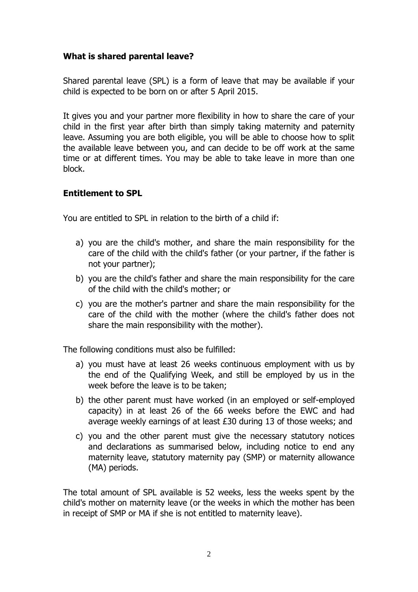#### **What is shared parental leave?**

Shared parental leave (SPL) is a form of leave that may be available if your child is expected to be born on or after 5 April 2015.

It gives you and your partner more flexibility in how to share the care of your child in the first year after birth than simply taking maternity and paternity leave. Assuming you are both eligible, you will be able to choose how to split the available leave between you, and can decide to be off work at the same time or at different times. You may be able to take leave in more than one block.

#### **Entitlement to SPL**

You are entitled to SPL in relation to the birth of a child if:

- a) you are the child's mother, and share the main responsibility for the care of the child with the child's father (or your partner, if the father is not your partner);
- b) you are the child's father and share the main responsibility for the care of the child with the child's mother; or
- c) you are the mother's partner and share the main responsibility for the care of the child with the mother (where the child's father does not share the main responsibility with the mother).

The following conditions must also be fulfilled:

- a) you must have at least 26 weeks continuous employment with us by the end of the Qualifying Week, and still be employed by us in the week before the leave is to be taken;
- b) the other parent must have worked (in an employed or self-employed capacity) in at least 26 of the 66 weeks before the EWC and had average weekly earnings of at least £30 during 13 of those weeks; and
- c) you and the other parent must give the necessary statutory notices and declarations as summarised below, including notice to end any maternity leave, statutory maternity pay (SMP) or maternity allowance (MA) periods.

The total amount of SPL available is 52 weeks, less the weeks spent by the child's mother on maternity leave (or the weeks in which the mother has been in receipt of SMP or MA if she is not entitled to maternity leave).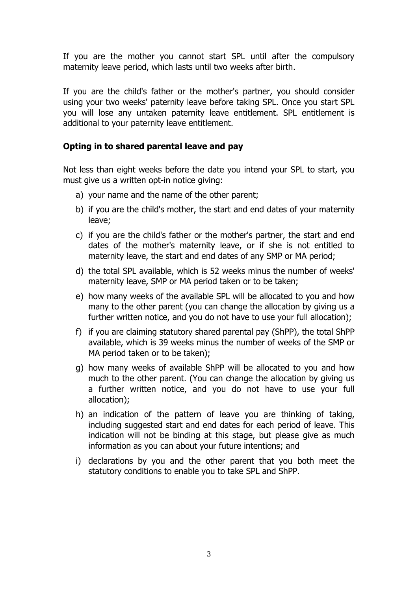If you are the mother you cannot start SPL until after the compulsory maternity leave period, which lasts until two weeks after birth.

If you are the child's father or the mother's partner, you should consider using your two weeks' paternity leave before taking SPL. Once you start SPL you will lose any untaken paternity leave entitlement. SPL entitlement is additional to your paternity leave entitlement.

#### **Opting in to shared parental leave and pay**

Not less than eight weeks before the date you intend your SPL to start, you must give us a written opt-in notice giving:

- a) your name and the name of the other parent;
- b) if you are the child's mother, the start and end dates of your maternity leave;
- c) if you are the child's father or the mother's partner, the start and end dates of the mother's maternity leave, or if she is not entitled to maternity leave, the start and end dates of any SMP or MA period;
- d) the total SPL available, which is 52 weeks minus the number of weeks' maternity leave, SMP or MA period taken or to be taken;
- e) how many weeks of the available SPL will be allocated to you and how many to the other parent (you can change the allocation by giving us a further written notice, and you do not have to use your full allocation);
- f) if you are claiming statutory shared parental pay (ShPP), the total ShPP available, which is 39 weeks minus the number of weeks of the SMP or MA period taken or to be taken);
- g) how many weeks of available ShPP will be allocated to you and how much to the other parent. (You can change the allocation by giving us a further written notice, and you do not have to use your full allocation);
- h) an indication of the pattern of leave you are thinking of taking, including suggested start and end dates for each period of leave. This indication will not be binding at this stage, but please give as much information as you can about your future intentions; and
- i) declarations by you and the other parent that you both meet the statutory conditions to enable you to take SPL and ShPP.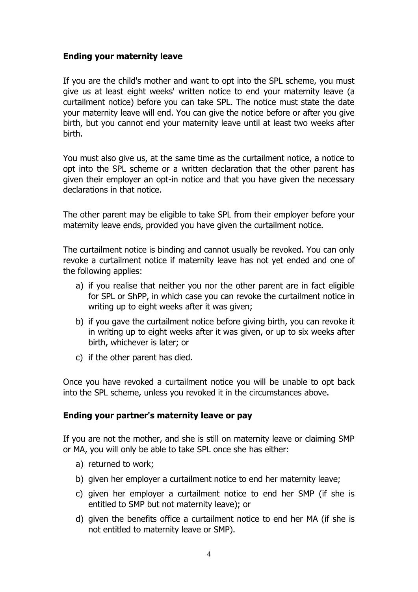#### **Ending your maternity leave**

If you are the child's mother and want to opt into the SPL scheme, you must give us at least eight weeks' written notice to end your maternity leave (a curtailment notice) before you can take SPL. The notice must state the date your maternity leave will end. You can give the notice before or after you give birth, but you cannot end your maternity leave until at least two weeks after birth.

You must also give us, at the same time as the curtailment notice, a notice to opt into the SPL scheme or a written declaration that the other parent has given their employer an opt-in notice and that you have given the necessary declarations in that notice.

The other parent may be eligible to take SPL from their employer before your maternity leave ends, provided you have given the curtailment notice.

The curtailment notice is binding and cannot usually be revoked. You can only revoke a curtailment notice if maternity leave has not yet ended and one of the following applies:

- a) if you realise that neither you nor the other parent are in fact eligible for SPL or ShPP, in which case you can revoke the curtailment notice in writing up to eight weeks after it was given;
- b) if you gave the curtailment notice before giving birth, you can revoke it in writing up to eight weeks after it was given, or up to six weeks after birth, whichever is later; or
- c) if the other parent has died.

Once you have revoked a curtailment notice you will be unable to opt back into the SPL scheme, unless you revoked it in the circumstances above.

#### **Ending your partner's maternity leave or pay**

If you are not the mother, and she is still on maternity leave or claiming SMP or MA, you will only be able to take SPL once she has either:

- a) returned to work;
- b) given her employer a curtailment notice to end her maternity leave;
- c) given her employer a curtailment notice to end her SMP (if she is entitled to SMP but not maternity leave); or
- d) given the benefits office a curtailment notice to end her MA (if she is not entitled to maternity leave or SMP).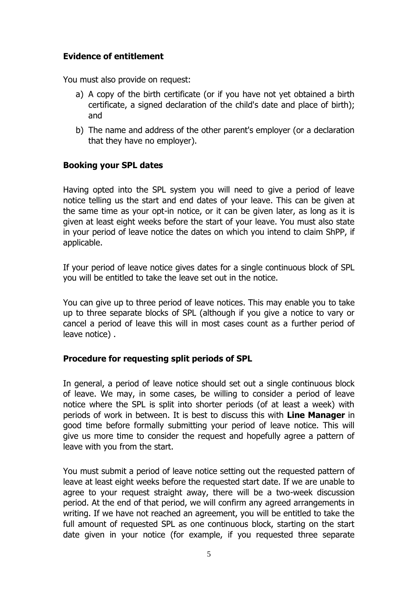#### **Evidence of entitlement**

You must also provide on request:

- a) A copy of the birth certificate (or if you have not yet obtained a birth certificate, a signed declaration of the child's date and place of birth); and
- b) The name and address of the other parent's employer (or a declaration that they have no employer).

#### **Booking your SPL dates**

Having opted into the SPL system you will need to give a period of leave notice telling us the start and end dates of your leave. This can be given at the same time as your opt-in notice, or it can be given later, as long as it is given at least eight weeks before the start of your leave. You must also state in your period of leave notice the dates on which you intend to claim ShPP, if applicable.

If your period of leave notice gives dates for a single continuous block of SPL you will be entitled to take the leave set out in the notice.

You can give up to three period of leave notices. This may enable you to take up to three separate blocks of SPL (although if you give a notice to vary or cancel a period of leave this will in most cases count as a further period of leave notice) .

#### **Procedure for requesting split periods of SPL**

In general, a period of leave notice should set out a single continuous block of leave. We may, in some cases, be willing to consider a period of leave notice where the SPL is split into shorter periods (of at least a week) with periods of work in between. It is best to discuss this with **Line Manager** in good time before formally submitting your period of leave notice. This will give us more time to consider the request and hopefully agree a pattern of leave with you from the start.

You must submit a period of leave notice setting out the requested pattern of leave at least eight weeks before the requested start date. If we are unable to agree to your request straight away, there will be a two-week discussion period. At the end of that period, we will confirm any agreed arrangements in writing. If we have not reached an agreement, you will be entitled to take the full amount of requested SPL as one continuous block, starting on the start date given in your notice (for example, if you requested three separate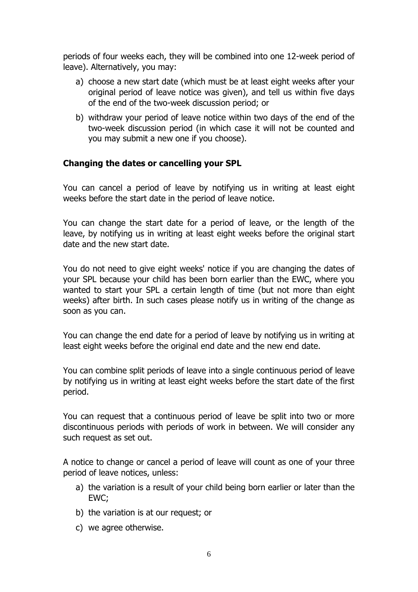periods of four weeks each, they will be combined into one 12-week period of leave). Alternatively, you may:

- a) choose a new start date (which must be at least eight weeks after your original period of leave notice was given), and tell us within five days of the end of the two-week discussion period; or
- b) withdraw your period of leave notice within two days of the end of the two-week discussion period (in which case it will not be counted and you may submit a new one if you choose).

#### **Changing the dates or cancelling your SPL**

You can cancel a period of leave by notifying us in writing at least eight weeks before the start date in the period of leave notice.

You can change the start date for a period of leave, or the length of the leave, by notifying us in writing at least eight weeks before the original start date and the new start date.

You do not need to give eight weeks' notice if you are changing the dates of your SPL because your child has been born earlier than the EWC, where you wanted to start your SPL a certain length of time (but not more than eight weeks) after birth. In such cases please notify us in writing of the change as soon as you can.

You can change the end date for a period of leave by notifying us in writing at least eight weeks before the original end date and the new end date.

You can combine split periods of leave into a single continuous period of leave by notifying us in writing at least eight weeks before the start date of the first period.

You can request that a continuous period of leave be split into two or more discontinuous periods with periods of work in between. We will consider any such request as set out.

A notice to change or cancel a period of leave will count as one of your three period of leave notices, unless:

- a) the variation is a result of your child being born earlier or later than the EWC;
- b) the variation is at our request; or
- c) we agree otherwise.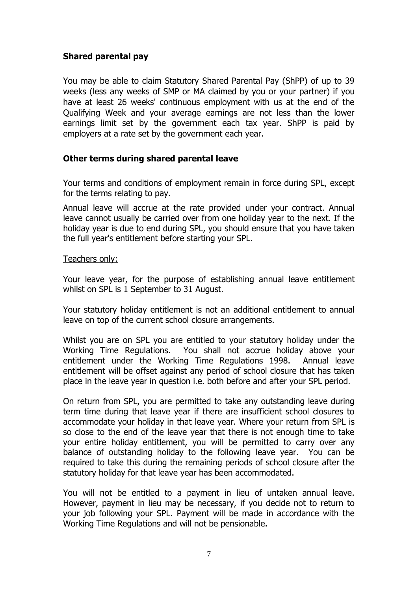#### **Shared parental pay**

You may be able to claim Statutory Shared Parental Pay (ShPP) of up to 39 weeks (less any weeks of SMP or MA claimed by you or your partner) if you have at least 26 weeks' continuous employment with us at the end of the Qualifying Week and your average earnings are not less than the lower earnings limit set by the government each tax year. ShPP is paid by employers at a rate set by the government each year.

#### **Other terms during shared parental leave**

Your terms and conditions of employment remain in force during SPL, except for the terms relating to pay.

Annual leave will accrue at the rate provided under your contract. Annual leave cannot usually be carried over from one holiday year to the next. If the holiday year is due to end during SPL, you should ensure that you have taken the full year's entitlement before starting your SPL.

#### Teachers only:

Your leave year, for the purpose of establishing annual leave entitlement whilst on SPL is 1 September to 31 August.

Your statutory holiday entitlement is not an additional entitlement to annual leave on top of the current school closure arrangements.

Whilst you are on SPL you are entitled to your statutory holiday under the Working Time Regulations. You shall not accrue holiday above your entitlement under the Working Time Regulations 1998. Annual leave entitlement will be offset against any period of school closure that has taken place in the leave year in question i.e. both before and after your SPL period.

On return from SPL, you are permitted to take any outstanding leave during term time during that leave year if there are insufficient school closures to accommodate your holiday in that leave year. Where your return from SPL is so close to the end of the leave year that there is not enough time to take your entire holiday entitlement, you will be permitted to carry over any balance of outstanding holiday to the following leave year. You can be required to take this during the remaining periods of school closure after the statutory holiday for that leave year has been accommodated.

You will not be entitled to a payment in lieu of untaken annual leave. However, payment in lieu may be necessary, if you decide not to return to your job following your SPL. Payment will be made in accordance with the Working Time Regulations and will not be pensionable.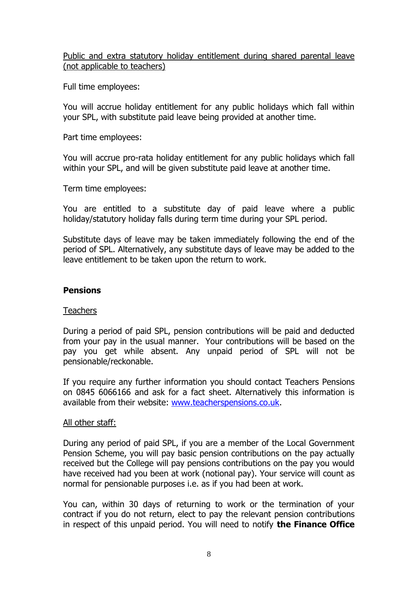#### Public and extra statutory holiday entitlement during shared parental leave (not applicable to teachers)

Full time employees:

You will accrue holiday entitlement for any public holidays which fall within your SPL, with substitute paid leave being provided at another time.

Part time employees:

You will accrue pro-rata holiday entitlement for any public holidays which fall within your SPL, and will be given substitute paid leave at another time.

Term time employees:

You are entitled to a substitute day of paid leave where a public holiday/statutory holiday falls during term time during your SPL period.

Substitute days of leave may be taken immediately following the end of the period of SPL. Alternatively, any substitute days of leave may be added to the leave entitlement to be taken upon the return to work.

#### **Pensions**

#### **Teachers**

During a period of paid SPL, pension contributions will be paid and deducted from your pay in the usual manner. Your contributions will be based on the pay you get while absent. Any unpaid period of SPL will not be pensionable/reckonable.

If you require any further information you should contact Teachers Pensions on 0845 6066166 and ask for a fact sheet. Alternatively this information is available from their website: [www.teacherspensions.co.uk.](http://www.teacherspensions.co.uk/)

#### All other staff:

During any period of paid SPL, if you are a member of the Local Government Pension Scheme, you will pay basic pension contributions on the pay actually received but the College will pay pensions contributions on the pay you would have received had you been at work (notional pay). Your service will count as normal for pensionable purposes i.e. as if you had been at work.

You can, within 30 days of returning to work or the termination of your contract if you do not return, elect to pay the relevant pension contributions in respect of this unpaid period. You will need to notify **the Finance Office**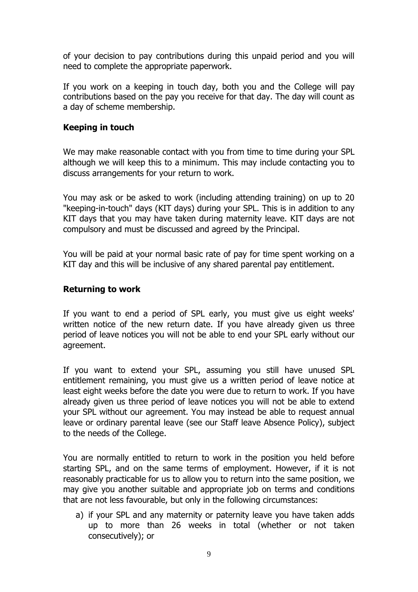of your decision to pay contributions during this unpaid period and you will need to complete the appropriate paperwork.

If you work on a keeping in touch day, both you and the College will pay contributions based on the pay you receive for that day. The day will count as a day of scheme membership.

#### **Keeping in touch**

We may make reasonable contact with you from time to time during your SPL although we will keep this to a minimum. This may include contacting you to discuss arrangements for your return to work.

You may ask or be asked to work (including attending training) on up to 20 "keeping-in-touch" days (KIT days) during your SPL. This is in addition to any KIT days that you may have taken during maternity leave. KIT days are not compulsory and must be discussed and agreed by the Principal.

You will be paid at your normal basic rate of pay for time spent working on a KIT day and this will be inclusive of any shared parental pay entitlement.

#### **Returning to work**

If you want to end a period of SPL early, you must give us eight weeks' written notice of the new return date. If you have already given us three period of leave notices you will not be able to end your SPL early without our agreement.

If you want to extend your SPL, assuming you still have unused SPL entitlement remaining, you must give us a written period of leave notice at least eight weeks before the date you were due to return to work. If you have already given us three period of leave notices you will not be able to extend your SPL without our agreement. You may instead be able to request annual leave or ordinary parental leave (see our Staff leave Absence Policy), subject to the needs of the College.

You are normally entitled to return to work in the position you held before starting SPL, and on the same terms of employment. However, if it is not reasonably practicable for us to allow you to return into the same position, we may give you another suitable and appropriate job on terms and conditions that are not less favourable, but only in the following circumstances:

a) if your SPL and any maternity or paternity leave you have taken adds up to more than 26 weeks in total (whether or not taken consecutively); or